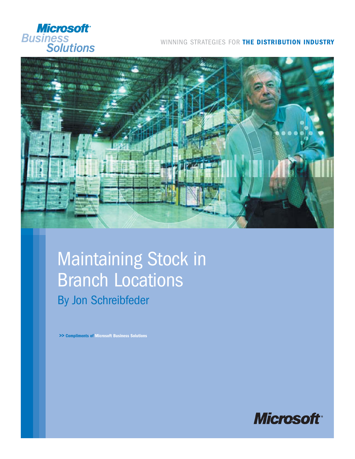

#### WINNING STRATEGIES FOR **THE DISTRIBUTION INDUSTRY**



## Maintaining Stock in Branch Locations By Jon Schreibfeder

**>> Compliments of Microsoft Business Solutions**

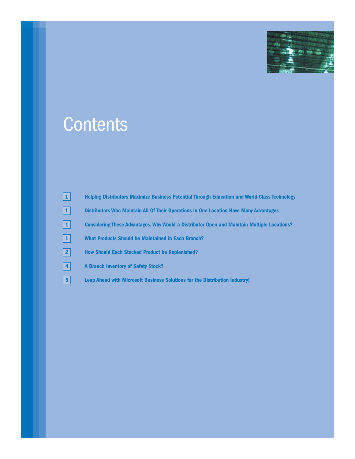

# **Contents**

| $\boxed{1}$     | <b>Helping Distributors Maximize Business Potential Through Education and World-Class Technology</b> |
|-----------------|------------------------------------------------------------------------------------------------------|
| $\boxed{1}$     | Distributors Who Maintain All Of Their Operations in One Location Have Many Advantages               |
| $\vert 1 \vert$ | <b>Considering These Advantages, Why Would a Distributor Open and Maintain Multiple Locations?</b>   |
| $\boxed{1}$     | <b>What Products Should be Maintained in Each Branch?</b>                                            |
| $\boxed{2}$     | <b>How Should Each Stocked Product be Replenished?</b>                                               |
| $\sqrt{4}$      | <b>A Branch Inventory of Safety Stock?</b>                                                           |
| 5               | Leap Ahead with Microsoft Business Solutions for the Distribution Industry!                          |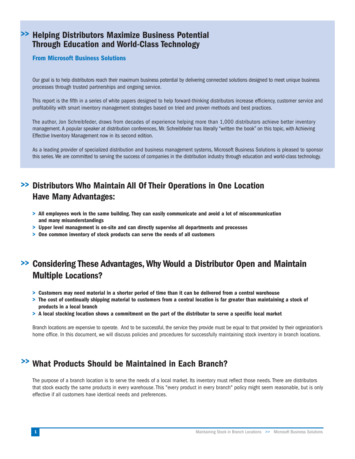#### **>> Helping Distributors Maximize Business Potential Through Education and World-Class Technology**

#### **From Microsoft Business Solutions**

Our goal is to help distributors reach their maximum business potential by delivering connected solutions designed to meet unique business processes through trusted partnerships and ongoing service.

This report is the fifth in a series of white papers designed to help forward-thinking distributors increase efficiency, customer service and profitability with smart inventory management strategies based on tried and proven methods and best practices.

The author, Jon Schreibfeder, draws from decades of experience helping more than 1,000 distributors achieve better inventory management. A popular speaker at distribution conferences, Mr. Schreibfeder has literally "written the book" on this topic, with Achieving Effective Inventory Management now in its second edition.

As a leading provider of specialized distribution and business management systems, Microsoft Business Solutions is pleased to sponsor this series. We are committed to serving the success of companies in the distribution industry through education and world-class technology.

## **>> Distributors Who Maintain All Of Their Operations in One Location Have Many Advantages:**

- **> All employees work in the same building. They can easily communicate and avoid a lot of miscommunication and many misunderstandings**
- **> Upper level management is on-site and can directly supervise all departments and processes**
- **> One common inventory of stock products can serve the needs of all customers**

## **>> Considering These Advantages, Why Would a Distributor Open and Maintain Multiple Locations?**

- **> Customers may need material in a shorter period of time than it can be delivered from a central warehouse**
- **> The cost of continually shipping material to customers from a central location is far greater than maintaining a stock of products in a local branch**
- **> A local stocking location shows a commitment on the part of the distributor to serve a specific local market**

Branch locations are expensive to operate. And to be successful, the service they provide must be equal to that provided by their organization's home office. In this document, we will discuss policies and procedures for successfully maintaining stock inventory in branch locations.

## **>> What Products Should be Maintained in Each Branch?**

The purpose of a branch location is to serve the needs of a local market. Its inventory must reflect those needs. There are distributors that stock exactly the same products in every warehouse. This "every product in every branch" policy might seem reasonable, but is only effective if all customers have identical needs and preferences.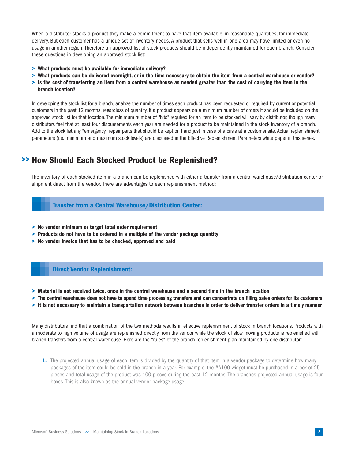When a distributor stocks a product they make a commitment to have that item available, in reasonable quantities, for immediate delivery. But each customer has a unique set of inventory needs. A product that sells well in one area may have limited or even no usage in another region. Therefore an approved list of stock products should be independently maintained for each branch. Consider these questions in developing an approved stock list:

- **> What products must be available for immediate delivery?**
- **> What products can be delivered overnight, or in the time necessary to obtain the item from a central warehouse or vendor?**
- **> Is the cost of transferring an item from a central warehouse as needed greater than the cost of carrying the item in the branch location?**

In developing the stock list for a branch, analyze the number of times each product has been requested or required by current or potential customers in the past 12 months, regardless of quantity. If a product appears on a minimum number of orders it should be included on the approved stock list for that location. The minimum number of "hits" required for an item to be stocked will vary by distributor, though many distributors feel that at least four disbursements each year are needed for a product to be maintained in the stock inventory of a branch. Add to the stock list any "emergency" repair parts that should be kept on hand just in case of a crisis at a customer site. Actual replenishment parameters (i.e., minimum and maximum stock levels) are discussed in the Effective Replenishment Parameters white paper in this series.

### **>> How Should Each Stocked Product be Replenished?**

The inventory of each stocked item in a branch can be replenished with either a transfer from a central warehouse/distribution center or shipment direct from the vendor. There are advantages to each replenishment method:

#### **Transfer from a Central Warehouse/Distribution Center:**

- **> No vendor minimum or target total order requirement**
- **> Products do not have to be ordered in a multiple of the vendor package quantity**
- **> No vendor invoice that has to be checked, approved and paid**

#### **Direct Vendor Replenishment:**

- **> Material is not received twice, once in the central warehouse and a second time in the branch location**
- **> The central warehouse does not have to spend time processing transfers and can concentrate on filling sales orders for its customers**
- **> It is not necessary to maintain a transportation network between branches in order to deliver transfer orders in a timely manner**

Many distributors find that a combination of the two methods results in effective replenishment of stock in branch locations. Products with a moderate to high volume of usage are replenished directly from the vendor while the stock of slow moving products is replenished with branch transfers from a central warehouse. Here are the "rules" of the branch replenishment plan maintained by one distributor:

**1.** The projected annual usage of each item is divided by the quantity of that item in a vendor package to determine how many packages of the item could be sold in the branch in a year. For example, the #A100 widget must be purchased in a box of 25 pieces and total usage of the product was 100 pieces during the past 12 months. The branches projected annual usage is four boxes. This is also known as the annual vendor package usage.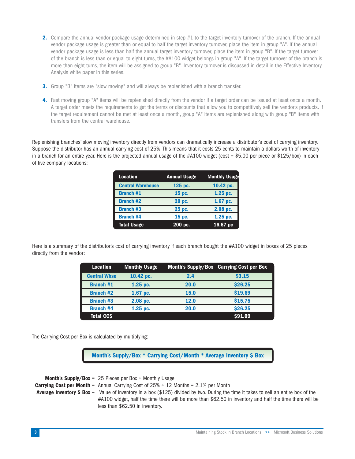- **2.** Compare the annual vendor package usage determined in step #1 to the target inventory turnover of the branch. If the annual vendor package usage is greater than or equal to half the target inventory turnover, place the item in group "A". If the annual vendor package usage is less than half the annual target inventory turnover, place the item in group "B". If the target turnover of the branch is less than or equal to eight turns, the #A100 widget belongs in group "A". If the target turnover of the branch is more than eight turns, the item will be assigned to group "B". Inventory turnover is discussed in detail in the Effective Inventory Analysis white paper in this series.
- **3.** Group "B" items are "slow moving" and will always be replenished with a branch transfer.
- **4.** Fast moving group "A" items will be replenished directly from the vendor if a target order can be issued at least once a month. A target order meets the requirements to get the terms or discounts that allow you to competitively sell the vendor's products. If the target requirement cannot be met at least once a month, group "A" items are replenished along with group "B" items with transfers from the central warehouse.

Replenishing branches' slow moving inventory directly from vendors can dramatically increase a distributor's cost of carrying inventory. Suppose the distributor has an annual carrying cost of 25%. This means that it costs 25 cents to maintain a dollars worth of inventory in a branch for an entire year. Here is the projected annual usage of the #A100 widget (cost = \$5.00 per piece or \$125/box) in each of five company locations:

| <b>Location</b>          | <b>Annual Usage</b> | <b>Monthly Usage</b> |
|--------------------------|---------------------|----------------------|
| <b>Central Warehouse</b> | 125 pc.             | 10.42 pc.            |
| <b>Branch #1</b>         | 15 pc.              | 1.25 pc.             |
| <b>Branch #2</b>         | 20 pc.              | 1.67 pc.             |
| <b>Branch #3</b>         | 25 pc.              | 2.08 pc.             |
| <b>Branch #4</b>         | 15 pc.              | 1.25 pc.             |
| <b>Total Usage</b>       | 200 pc.             | 16.67 pc             |

Here is a summary of the distributor's cost of carrying inventory if each branch bought the #A100 widget in boxes of 25 pieces directly from the vendor:

| <b>Location</b>     | <b>Monthly Usage</b> |             | Month's Supply/Box Carrying Cost per Box |
|---------------------|----------------------|-------------|------------------------------------------|
| <b>Central Whse</b> | 10.42 pc.            | 2.4         | \$3.15                                   |
| <b>Branch #1</b>    | $1.25$ pc.           | <b>20.0</b> | \$26.25                                  |
| <b>Branch #2</b>    | 1.67 pc.             | <b>15.0</b> | \$19.69                                  |
| <b>Branch #3</b>    | $2.08$ pc.           | <b>12.0</b> | \$15.75                                  |
| <b>Branch #4</b>    | $1.25$ pc.           | 20.0        | \$26.25                                  |
| <b>Total CCS</b>    |                      |             | \$91.09                                  |

The Carrying Cost per Box is calculated by multiplying:

**Month's Supply/Box \* Carrying Cost/Month \* Average Inventory \$ Box**

**Month's Supply/Box** = 25 Pieces per Box ÷ Monthly Usage **Carrying Cost per Month** = Annual Carrying Cost of 25% ÷ 12 Months = 2.1% per Month **Average Inventory \$ Box** = Value of inventory in a box (\$125) divided by two. During the time it takes to sell an entire box of the #A100 widget, half the time there will be more than \$62.50 in inventory and half the time there will be less than \$62.50 in inventory.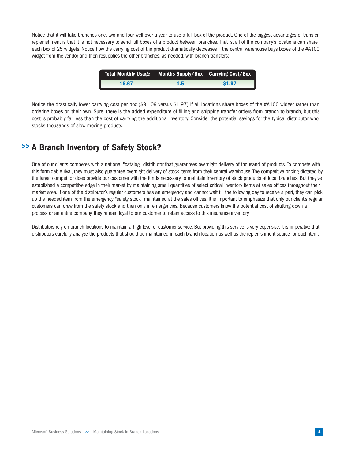Notice that it will take branches one, two and four well over a year to use a full box of the product. One of the biggest advantages of transfer replenishment is that it is not necessary to send full boxes of a product between branches. That is, all of the company's locations can share each box of 25 widgets. Notice how the carrying cost of the product dramatically decreases if the central warehouse buys boxes of the #A100 widget from the vendor and then resupplies the other branches, as needed, with branch transfers:

| 'Total Monthly Usage | Months Supply/Box Carrying Cost/Box |        |
|----------------------|-------------------------------------|--------|
| 16.67                | 1.5                                 | \$1.97 |

Notice the drastically lower carrying cost per box (\$91.09 versus \$1.97) if all locations share boxes of the #A100 widget rather than ordering boxes on their own. Sure, there is the added expenditure of filling and shipping transfer orders from branch to branch, but this cost is probably far less than the cost of carrying the additional inventory. Consider the potential savings for the typical distributor who stocks thousands of slow moving products.

### **A Branch Inventory of Safety Stock? >>**

One of our clients competes with a national "catalog" distributor that guarantees overnight delivery of thousand of products. To compete with this formidable rival, they must also guarantee overnight delivery of stock items from their central warehouse. The competitive pricing dictated by the larger competitor does provide our customer with the funds necessary to maintain inventory of stock products at local branches. But they've established a competitive edge in their market by maintaining small quantities of select critical inventory items at sales offices throughout their market area. If one of the distributor's regular customers has an emergency and cannot wait till the following day to receive a part, they can pick up the needed item from the emergency "safety stock" maintained at the sales offices. It is important to emphasize that only our client's regular customers can draw from the safety stock and then only in emergencies. Because customers know the potential cost of shutting down a process or an entire company, they remain loyal to our customer to retain access to this insurance inventory.

Distributors rely on branch locations to maintain a high level of customer service. But providing this service is very expensive. It is imperative that distributors carefully analyze the products that should be maintained in each branch location as well as the replenishment source for each item.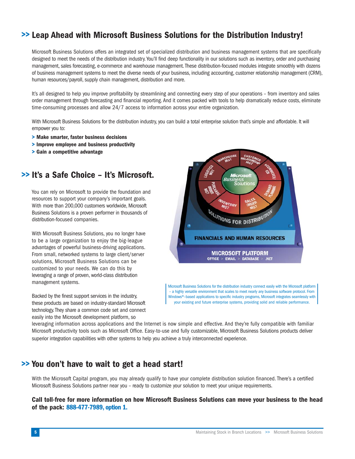## **>> Leap Ahead with Microsoft Business Solutions for the Distribution Industry!**

Microsoft Business Solutions offers an integrated set of specialized distribution and business management systems that are specifically designed to meet the needs of the distribution industry. You'll find deep functionality in our solutions such as inventory, order and purchasing management, sales forecasting, e-commerce and warehouse management. These distribution-focused modules integrate smoothly with dozens of business management systems to meet the diverse needs of your business, including accounting, customer relationship management (CRM), human resources/payroll, supply chain management, distribution and more.

It's all designed to help you improve profitability by streamlining and connecting every step of your operations – from inventory and sales order management through forecasting and financial reporting. And it comes packed with tools to help dramatically reduce costs, eliminate time-consuming processes and allow 24/7 access to information across your entire organization.

With Microsoft Business Solutions for the distribution industry, you can build a total enterprise solution that's simple and affordable. It will empower you to:

- **> Make smarter, faster business decisions**
- **> Improve employee and business productivity**
- **> Gain a competitive advantage**

#### **>> It's a Safe Choice – It's Microsoft.**

You can rely on Microsoft to provide the foundation and resources to support your company's important goals. With more than 200,000 customers worldwide, Microsoft Business Solutions is a proven performer in thousands of distribution-focused companies.

With Microsoft Business Solutions, you no longer have to be a large organization to enjoy the big-league advantages of powerful business-driving applications. From small, networked systems to large client/server solutions, Microsoft Business Solutions can be customized to your needs. We can do this by leveraging a range of proven, world-class distribution management systems.





Microsoft Business Solutions for the distribution industry connect easily with the Microsoft platform – a highly versatile environment that scales to meet nearly any business software protocol. From Windows®–based applications to specific industry programs, Microsoft integrates seamlessly with your existing and future enterprise systems, providing solid and reliable performance.

leveraging information across applications and the Internet is now simple and effective. And they're fully compatible with familiar Microsoft productivity tools such as Microsoft Office. Easy-to-use and fully customizable, Microsoft Business Solutions products deliver superior integration capabilities with other systems to help you achieve a truly interconnected experience.

#### **You don't have to wait to get a head start! >>**

With the Microsoft Capital program, you may already qualify to have your complete distribution solution financed. There's a certified Microsoft Business Solutions partner near you – ready to customize your solution to meet your unique requirements.

**Call toll-free for more information on how Microsoft Business Solutions can move your business to the head of the pack: 888-477-7989, option 1.**